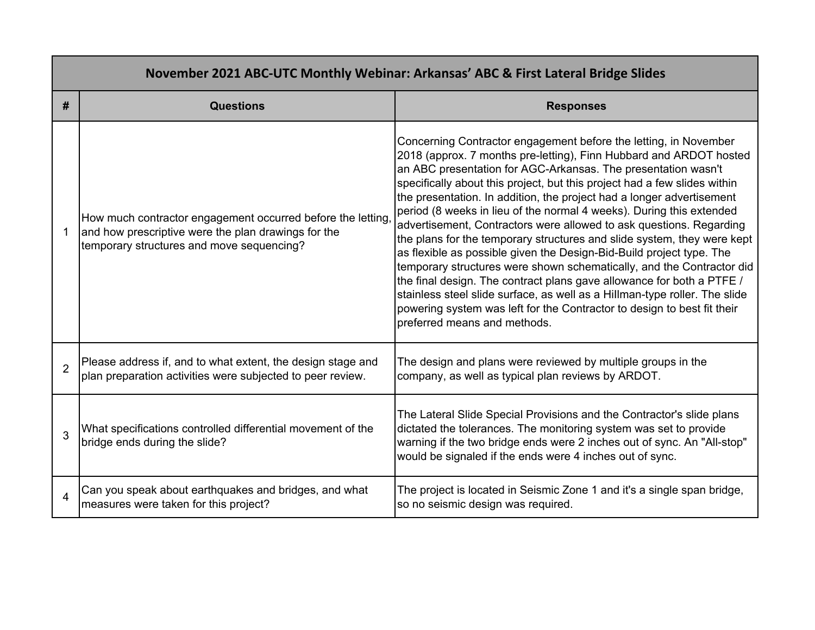| November 2021 ABC-UTC Monthly Webinar: Arkansas' ABC & First Lateral Bridge Slides |                                                                                                                                                                 |                                                                                                                                                                                                                                                                                                                                                                                                                                                                                                                                                                                                                                                                                                                                                                                                                                                                                                                                                                                                            |  |  |
|------------------------------------------------------------------------------------|-----------------------------------------------------------------------------------------------------------------------------------------------------------------|------------------------------------------------------------------------------------------------------------------------------------------------------------------------------------------------------------------------------------------------------------------------------------------------------------------------------------------------------------------------------------------------------------------------------------------------------------------------------------------------------------------------------------------------------------------------------------------------------------------------------------------------------------------------------------------------------------------------------------------------------------------------------------------------------------------------------------------------------------------------------------------------------------------------------------------------------------------------------------------------------------|--|--|
| #                                                                                  | <b>Questions</b>                                                                                                                                                | <b>Responses</b>                                                                                                                                                                                                                                                                                                                                                                                                                                                                                                                                                                                                                                                                                                                                                                                                                                                                                                                                                                                           |  |  |
|                                                                                    | How much contractor engagement occurred before the letting,<br>and how prescriptive were the plan drawings for the<br>temporary structures and move sequencing? | Concerning Contractor engagement before the letting, in November<br>2018 (approx. 7 months pre-letting), Finn Hubbard and ARDOT hosted<br>an ABC presentation for AGC-Arkansas. The presentation wasn't<br>specifically about this project, but this project had a few slides within<br>the presentation. In addition, the project had a longer advertisement<br>period (8 weeks in lieu of the normal 4 weeks). During this extended<br>advertisement, Contractors were allowed to ask questions. Regarding<br>the plans for the temporary structures and slide system, they were kept<br>as flexible as possible given the Design-Bid-Build project type. The<br>temporary structures were shown schematically, and the Contractor did<br>the final design. The contract plans gave allowance for both a PTFE /<br>stainless steel slide surface, as well as a Hillman-type roller. The slide<br>powering system was left for the Contractor to design to best fit their<br>preferred means and methods. |  |  |
| $\overline{2}$                                                                     | Please address if, and to what extent, the design stage and<br>plan preparation activities were subjected to peer review.                                       | The design and plans were reviewed by multiple groups in the<br>company, as well as typical plan reviews by ARDOT.                                                                                                                                                                                                                                                                                                                                                                                                                                                                                                                                                                                                                                                                                                                                                                                                                                                                                         |  |  |
| 3                                                                                  | What specifications controlled differential movement of the<br>bridge ends during the slide?                                                                    | The Lateral Slide Special Provisions and the Contractor's slide plans<br>dictated the tolerances. The monitoring system was set to provide<br>warning if the two bridge ends were 2 inches out of sync. An "All-stop"<br>would be signaled if the ends were 4 inches out of sync.                                                                                                                                                                                                                                                                                                                                                                                                                                                                                                                                                                                                                                                                                                                          |  |  |
| $\overline{4}$                                                                     | Can you speak about earthquakes and bridges, and what<br>measures were taken for this project?                                                                  | The project is located in Seismic Zone 1 and it's a single span bridge,<br>so no seismic design was required.                                                                                                                                                                                                                                                                                                                                                                                                                                                                                                                                                                                                                                                                                                                                                                                                                                                                                              |  |  |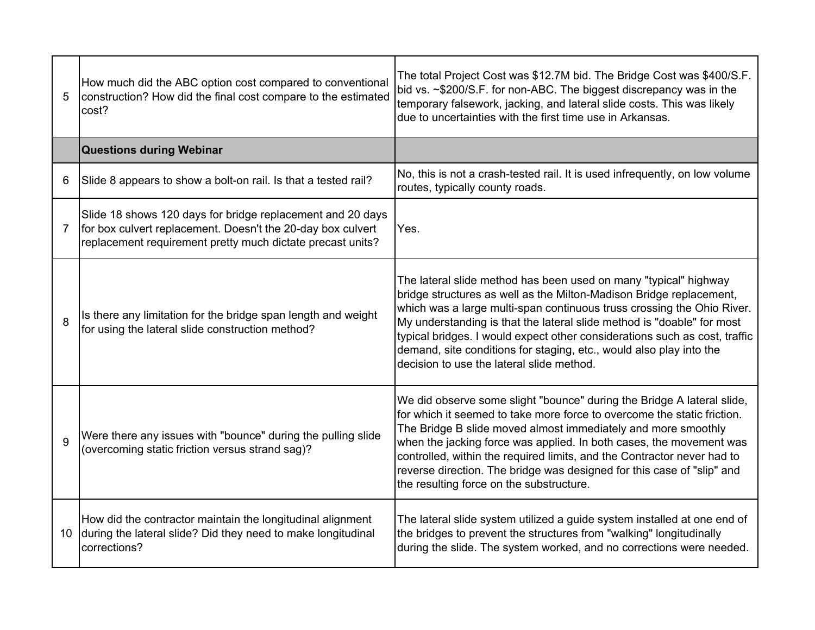| 5  | How much did the ABC option cost compared to conventional<br>construction? How did the final cost compare to the estimated<br>cost?                                                     | The total Project Cost was \$12.7M bid. The Bridge Cost was \$400/S.F.<br>bid vs. ~\$200/S.F. for non-ABC. The biggest discrepancy was in the<br>temporary falsework, jacking, and lateral slide costs. This was likely<br>due to uncertainties with the first time use in Arkansas.                                                                                                                                                                                                          |
|----|-----------------------------------------------------------------------------------------------------------------------------------------------------------------------------------------|-----------------------------------------------------------------------------------------------------------------------------------------------------------------------------------------------------------------------------------------------------------------------------------------------------------------------------------------------------------------------------------------------------------------------------------------------------------------------------------------------|
|    | <b>Questions during Webinar</b>                                                                                                                                                         |                                                                                                                                                                                                                                                                                                                                                                                                                                                                                               |
| 6  | Slide 8 appears to show a bolt-on rail. Is that a tested rail?                                                                                                                          | No, this is not a crash-tested rail. It is used infrequently, on low volume<br>routes, typically county roads.                                                                                                                                                                                                                                                                                                                                                                                |
| 7  | Slide 18 shows 120 days for bridge replacement and 20 days<br>for box culvert replacement. Doesn't the 20-day box culvert<br>replacement requirement pretty much dictate precast units? | Yes.                                                                                                                                                                                                                                                                                                                                                                                                                                                                                          |
| 8  | Is there any limitation for the bridge span length and weight<br>for using the lateral slide construction method?                                                                       | The lateral slide method has been used on many "typical" highway<br>bridge structures as well as the Milton-Madison Bridge replacement,<br>which was a large multi-span continuous truss crossing the Ohio River.<br>My understanding is that the lateral slide method is "doable" for most<br>typical bridges. I would expect other considerations such as cost, traffic<br>demand, site conditions for staging, etc., would also play into the<br>decision to use the lateral slide method. |
| 9  | Were there any issues with "bounce" during the pulling slide<br>(overcoming static friction versus strand sag)?                                                                         | We did observe some slight "bounce" during the Bridge A lateral slide,<br>for which it seemed to take more force to overcome the static friction.<br>The Bridge B slide moved almost immediately and more smoothly<br>when the jacking force was applied. In both cases, the movement was<br>controlled, within the required limits, and the Contractor never had to<br>reverse direction. The bridge was designed for this case of "slip" and<br>the resulting force on the substructure.    |
| 10 | How did the contractor maintain the longitudinal alignment<br>during the lateral slide? Did they need to make longitudinal<br>corrections?                                              | The lateral slide system utilized a guide system installed at one end of<br>the bridges to prevent the structures from "walking" longitudinally<br>during the slide. The system worked, and no corrections were needed.                                                                                                                                                                                                                                                                       |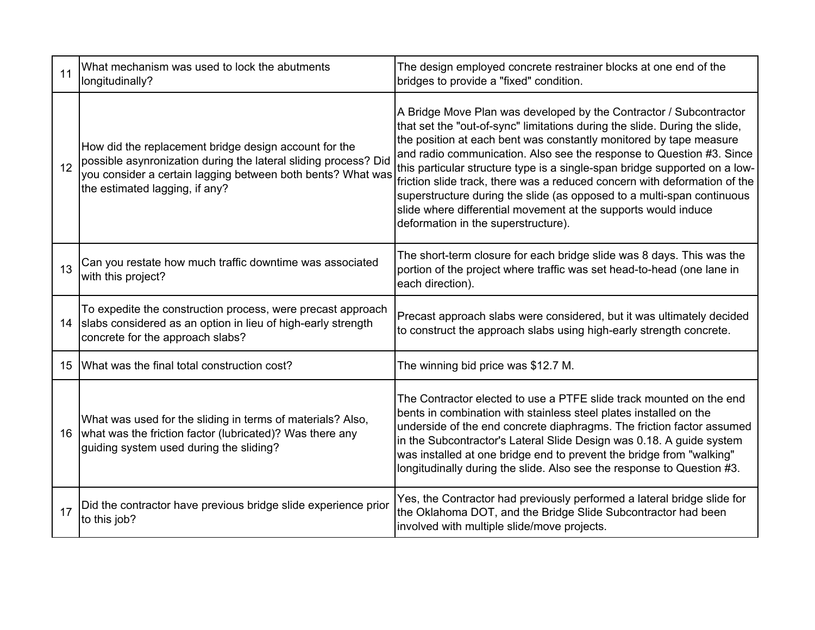| 11 | What mechanism was used to lock the abutments<br>longitudinally?                                                                                                                                                          | The design employed concrete restrainer blocks at one end of the<br>bridges to provide a "fixed" condition.                                                                                                                                                                                                                                                                                                                                                                                                                                                                                                                                  |
|----|---------------------------------------------------------------------------------------------------------------------------------------------------------------------------------------------------------------------------|----------------------------------------------------------------------------------------------------------------------------------------------------------------------------------------------------------------------------------------------------------------------------------------------------------------------------------------------------------------------------------------------------------------------------------------------------------------------------------------------------------------------------------------------------------------------------------------------------------------------------------------------|
| 12 | How did the replacement bridge design account for the<br>possible asynronization during the lateral sliding process? Did<br>you consider a certain lagging between both bents? What was<br>the estimated lagging, if any? | A Bridge Move Plan was developed by the Contractor / Subcontractor<br>that set the "out-of-sync" limitations during the slide. During the slide,<br>the position at each bent was constantly monitored by tape measure<br>and radio communication. Also see the response to Question #3. Since<br>this particular structure type is a single-span bridge supported on a low-<br>friction slide track, there was a reduced concern with deformation of the<br>superstructure during the slide (as opposed to a multi-span continuous<br>slide where differential movement at the supports would induce<br>deformation in the superstructure). |
| 13 | Can you restate how much traffic downtime was associated<br>with this project?                                                                                                                                            | The short-term closure for each bridge slide was 8 days. This was the<br>portion of the project where traffic was set head-to-head (one lane in<br>each direction).                                                                                                                                                                                                                                                                                                                                                                                                                                                                          |
| 14 | To expedite the construction process, were precast approach<br>slabs considered as an option in lieu of high-early strength<br>concrete for the approach slabs?                                                           | Precast approach slabs were considered, but it was ultimately decided<br>to construct the approach slabs using high-early strength concrete.                                                                                                                                                                                                                                                                                                                                                                                                                                                                                                 |
| 15 | What was the final total construction cost?                                                                                                                                                                               | The winning bid price was \$12.7 M.                                                                                                                                                                                                                                                                                                                                                                                                                                                                                                                                                                                                          |
| 16 | What was used for the sliding in terms of materials? Also,<br>what was the friction factor (lubricated)? Was there any<br>guiding system used during the sliding?                                                         | The Contractor elected to use a PTFE slide track mounted on the end<br>bents in combination with stainless steel plates installed on the<br>underside of the end concrete diaphragms. The friction factor assumed<br>in the Subcontractor's Lateral Slide Design was 0.18. A guide system<br>was installed at one bridge end to prevent the bridge from "walking"<br>longitudinally during the slide. Also see the response to Question #3.                                                                                                                                                                                                  |
| 17 | Did the contractor have previous bridge slide experience prior<br>to this job?                                                                                                                                            | Yes, the Contractor had previously performed a lateral bridge slide for<br>the Oklahoma DOT, and the Bridge Slide Subcontractor had been<br>involved with multiple slide/move projects.                                                                                                                                                                                                                                                                                                                                                                                                                                                      |